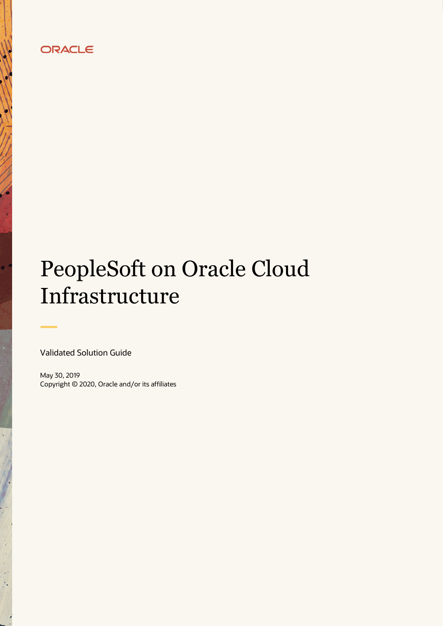# ORACLE

# PeopleSoft on Oracle Cloud Infrastructure

Validated Solution Guide

 $\bullet$ 

May 30, 2019 Copyright © 2020, Oracle and/or its affiliates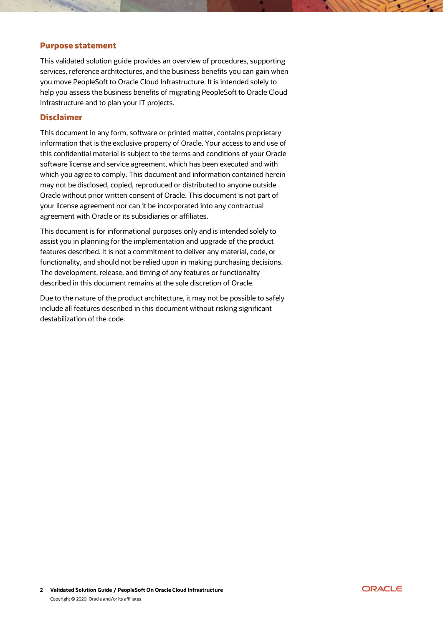#### Purpose statement

This validated solution guide provides an overview of procedures, supporting services, reference architectures, and the business benefits you can gain when you move PeopleSoft to Oracle Cloud Infrastructure. It is intended solely to help you assess the business benefits of migrating PeopleSoft to Oracle Cloud Infrastructure and to plan your IT projects.

# Disclaimer

This document in any form, software or printed matter, contains proprietary information that is the exclusive property of Oracle. Your access to and use of this confidential material is subject to the terms and conditions of your Oracle software license and service agreement, which has been executed and with which you agree to comply. This document and information contained herein may not be disclosed, copied, reproduced or distributed to anyone outside Oracle without prior written consent of Oracle. This document is not part of your license agreement nor can it be incorporated into any contractual agreement with Oracle or its subsidiaries or affiliates.

This document is for informational purposes only and is intended solely to assist you in planning for the implementation and upgrade of the product features described. It is not a commitment to deliver any material, code, or functionality, and should not be relied upon in making purchasing decisions. The development, release, and timing of any features or functionality described in this document remains at the sole discretion of Oracle.

Due to the nature of the product architecture, it may not be possible to safely include all features described in this document without risking significant destabilization of the code.

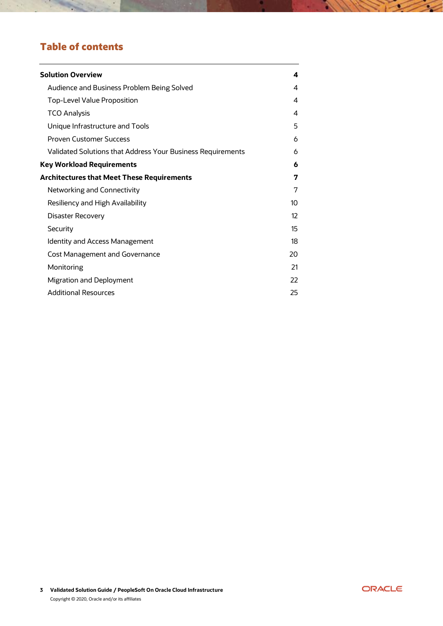# Table of contents

 $\sim$ 

| <b>Solution Overview</b>                                    | 4  |
|-------------------------------------------------------------|----|
| Audience and Business Problem Being Solved                  | 4  |
| Top-Level Value Proposition                                 | 4  |
| <b>TCO Analysis</b>                                         | 4  |
| Unique Infrastructure and Tools                             | 5  |
| <b>Proven Customer Success</b>                              | 6  |
| Validated Solutions that Address Your Business Requirements | 6  |
| <b>Key Workload Requirements</b>                            | 6  |
| <b>Architectures that Meet These Requirements</b>           | 7  |
| Networking and Connectivity                                 | 7  |
| Resiliency and High Availability                            | 10 |
| <b>Disaster Recovery</b>                                    | 12 |
| Security                                                    | 15 |
| <b>Identity and Access Management</b>                       | 18 |
| <b>Cost Management and Governance</b>                       | 20 |
| Monitoring                                                  | 21 |
| Migration and Deployment                                    | 22 |
| <b>Additional Resources</b>                                 | 25 |



 $\sim$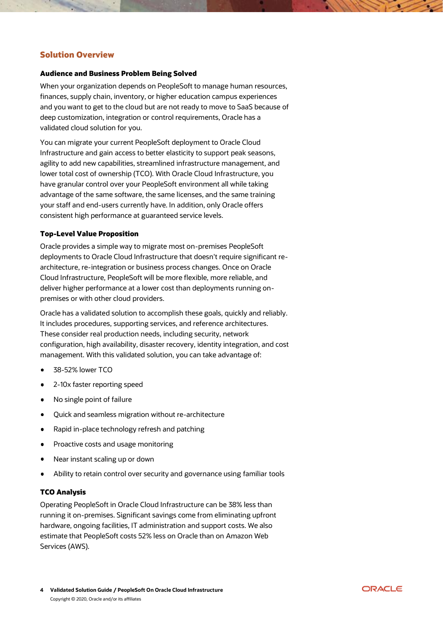# <span id="page-3-0"></span>Solution Overview

#### <span id="page-3-1"></span>Audience and Business Problem Being Solved

When your organization depends on PeopleSoft to manage human resources, finances, supply chain, inventory, or higher education campus experiences and you want to get to the cloud but are not ready to move to SaaS because of deep customization, integration or control requirements, Oracle has a validated cloud solution for you.

You can migrate your current PeopleSoft deployment to Oracle Cloud Infrastructure and gain access to better elasticity to support peak seasons, agility to add new capabilities, streamlined infrastructure management, and lower total cost of ownership (TCO). With Oracle Cloud Infrastructure, you have granular control over your PeopleSoft environment all while taking advantage of the same software, the same licenses, and the same training your staff and end-users currently have. In addition, only Oracle offers consistent high performance at guaranteed service levels.

#### <span id="page-3-2"></span>Top-Level Value Proposition

Oracle provides a simple way to migrate most on-premises PeopleSoft deployments to Oracle Cloud Infrastructure that doesn't require significant rearchitecture, re-integration or business process changes. Once on Oracle Cloud Infrastructure, PeopleSoft will be more flexible, more reliable, and deliver higher performance at a lower cost than deployments running onpremises or with other cloud providers.

Oracle has a validated solution to accomplish these goals, quickly and reliably. It includes procedures, supporting services, and reference architectures. These consider real production needs, including security, network configuration, high availability, disaster recovery, identity integration, and cost management. With this validated solution, you can take advantage of:

- 38-52% lower TCO
- 2-10x faster reporting speed
- No single point of failure  $\bullet$
- Quick and seamless migration without re-architecture ٠
- Rapid in-place technology refresh and patching  $\bullet$
- Proactive costs and usage monitoring Ă
- Near instant scaling up or down
- Ability to retain control over security and governance using familiar tools

#### <span id="page-3-3"></span>TCO Analysis

Operating PeopleSoft in Oracle Cloud Infrastructure can be 38% less than running it on-premises. Significant savings come from eliminating upfront hardware, ongoing facilities, IT administration and support costs. We also estimate that PeopleSoft costs 52% less on Oracle than on Amazon Web Services (AWS).

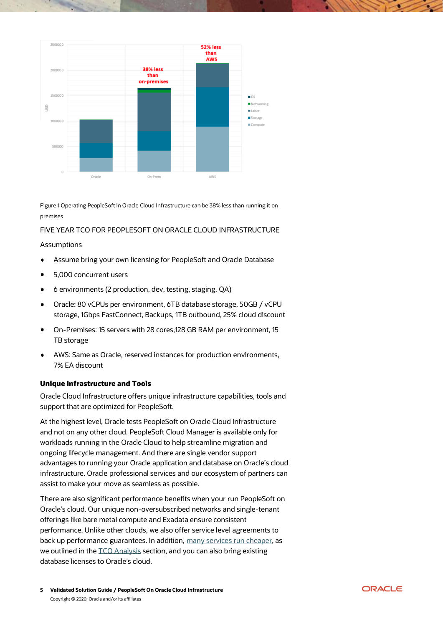

Figure 1 Operating PeopleSoft in Oracle Cloud Infrastructure can be 38% less than running it onpremises

#### FIVE YEAR TCO FOR PEOPLESOFT ON ORACLE CLOUD INFRASTRUCTURE

#### **Assumptions**

- Assume bring your own licensing for PeopleSoft and Oracle Database  $\bullet$
- 5,000 concurrent users  $\bullet$
- 6 environments (2 production, dev, testing, staging, QA)  $\bullet$
- Oracle: 80 vCPUs per environment, 6TB database storage, 50GB / vCPU  $\bullet$ storage, 1Gbps FastConnect, Backups, 1TB outbound, 25% cloud discount
- On-Premises: 15 servers with 28 cores,128 GB RAM per environment, 15 TB storage
- AWS: Same as Oracle, reserved instances for production environments, 7% EA discount

# <span id="page-4-0"></span>Unique Infrastructure and Tools

Oracle Cloud Infrastructure offers unique infrastructure capabilities, tools and support that are optimized for PeopleSoft.

At the highest level, Oracle tests PeopleSoft on Oracle Cloud Infrastructure and not on any other cloud. PeopleSoft Cloud Manager is available only for workloads running in the Oracle Cloud to help streamline migration and ongoing lifecycle management. And there are single vendor support advantages to running your Oracle application and database on Oracle's cloud infrastructure. Oracle professional services and our ecosystem of partners can assist to make your move as seamless as possible.

There are also significant performance benefits when your run PeopleSoft on Oracle's cloud. Our unique non-oversubscribed networks and single-tenant offerings like bare metal compute and Exadata ensure consistent performance. Unlike other clouds, we also offer service level agreements to back up performance guarantees. In addition, [many services run cheaper,](https://cloud.oracle.com/en_US/cloud-infrastructure) as we outlined in th[e TCO Analysis](https://cloud.oracle.com/en_US/cloud-infrastructure) section, and you can also bring existing database licenses to Oracle's cloud.

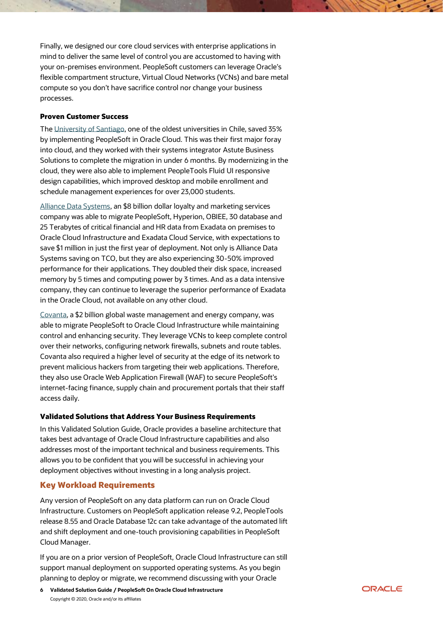Finally, we designed our core cloud services with enterprise applications in mind to deliver the same level of control you are accustomed to having with your on-premises environment. PeopleSoft customers can leverage Oracle's flexible compartment structure, Virtual Cloud Networks (VCNs) and bare metal compute so you don't have sacrifice control nor change your business processes.

#### <span id="page-5-0"></span>Proven Customer Success

The [University of Santiago,](https://cloud.oracle.com/iaas/casestudies/university-of-santiago) one of the oldest universities in Chile, saved 35% by implementing PeopleSoft in Oracle Cloud. This was their first major foray into cloud, and they worked with their systems integrator Astute Business Solutions to complete the migration in under 6 months. By modernizing in the cloud, they were also able to implement PeopleTools Fluid UI responsive design capabilities, which improved desktop and mobile enrollment and schedule management experiences for over 23,000 students.

[Alliance Data Systems,](https://cloud.oracle.com/iaas/casestudies/alliancedatasystems) an \$8 billion dollar loyalty and marketing services company was able to migrate PeopleSoft, Hyperion, OBIEE, 30 database and 25 Terabytes of critical financial and HR data from Exadata on premises to Oracle Cloud Infrastructure and Exadata Cloud Service, with expectations to save \$1 million in just the first year of deployment. Not only is Alliance Data Systems saving on TCO, but they are also experiencing 30-50% improved performance for their applications. They doubled their disk space, increased memory by 5 times and computing power by 3 times. And as a data intensive company, they can continue to leverage the superior performance of Exadata in the Oracle Cloud, not available on any other cloud.

[Covanta,](https://cloud.oracle.com/iaas/casestudies/covanta) a \$2 billion global waste management and energy company, was able to migrate PeopleSoft to Oracle Cloud Infrastructure while maintaining control and enhancing security. They leverage VCNs to keep complete control over their networks, configuring network firewalls, subnets and route tables. Covanta also required a higher level of security at the edge of its network to prevent malicious hackers from targeting their web applications. Therefore, they also use Oracle Web Application Firewall (WAF) to secure PeopleSoft's internet-facing finance, supply chain and procurement portals that their staff access daily.

# <span id="page-5-1"></span>Validated Solutions that Address Your Business Requirements

In this Validated Solution Guide, Oracle provides a baseline architecture that takes best advantage of Oracle Cloud Infrastructure capabilities and also addresses most of the important technical and business requirements. This allows you to be confident that you will be successful in achieving your deployment objectives without investing in a long analysis project.

# <span id="page-5-2"></span>Key Workload Requirements

Any version of PeopleSoft on any data platform can run on Oracle Cloud Infrastructure. Customers on PeopleSoft application release 9.2, PeopleTools release 8.55 and Oracle Database 12c can take advantage of the automated lift and shift deployment and one-touch provisioning capabilities in PeopleSoft Cloud Manager.

If you are on a prior version of PeopleSoft, Oracle Cloud Infrastructure can still support manual deployment on supported operating systems. As you begin planning to deploy or migrate, we recommend discussing with your Oracle

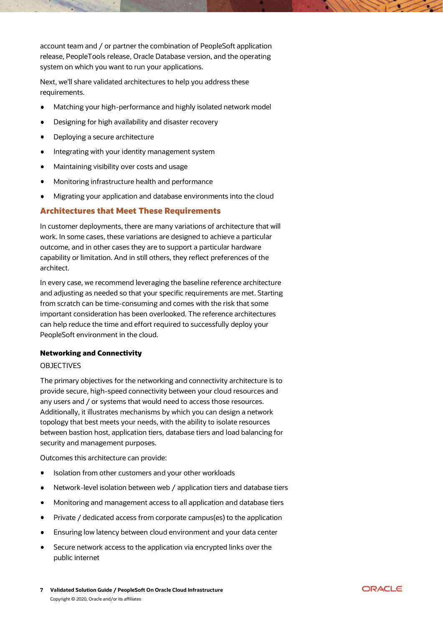account team and / or partner the combination of PeopleSoft application release, PeopleTools release, Oracle Database version, and the operating system on which you want to run your applications.

Next, we'll share validated architectures to help you address these requirements.

- Matching your high-performance and highly isolated network model  $\bullet$
- Designing for high availability and disaster recovery
- Deploying a secure architecture
- Integrating with your identity management system  $\bullet$
- Maintaining visibility over costs and usage  $\bullet$
- Monitoring infrastructure health and performance
- Migrating your application and database environments into the cloud

# <span id="page-6-0"></span>Architectures that Meet These Requirements

In customer deployments, there are many variations of architecture that will work. In some cases, these variations are designed to achieve a particular outcome, and in other cases they are to support a particular hardware capability or limitation. And in still others, they reflect preferences of the architect.

In every case, we recommend leveraging the baseline reference architecture and adjusting as needed so that your specific requirements are met. Starting from scratch can be time-consuming and comes with the risk that some important consideration has been overlooked. The reference architectures can help reduce the time and effort required to successfully deploy your PeopleSoft environment in the cloud.

#### <span id="page-6-1"></span>Networking and Connectivity

#### **OBJECTIVES**

The primary objectives for the networking and connectivity architecture is to provide secure, high-speed connectivity between your cloud resources and any users and / or systems that would need to access those resources. Additionally, it illustrates mechanisms by which you can design a network topology that best meets your needs, with the ability to isolate resources between bastion host, application tiers, database tiers and load balancing for security and management purposes.

Outcomes this architecture can provide:

- Isolation from other customers and your other workloads  $\bullet$
- Network-level isolation between web / application tiers and database tiers  $\bullet$
- Monitoring and management access to all application and database tiers  $\bullet$
- Private / dedicated access from corporate campus(es) to the application  $\bullet$
- Ensuring low latency between cloud environment and your data center
- Secure network access to the application via encrypted links over the public internet

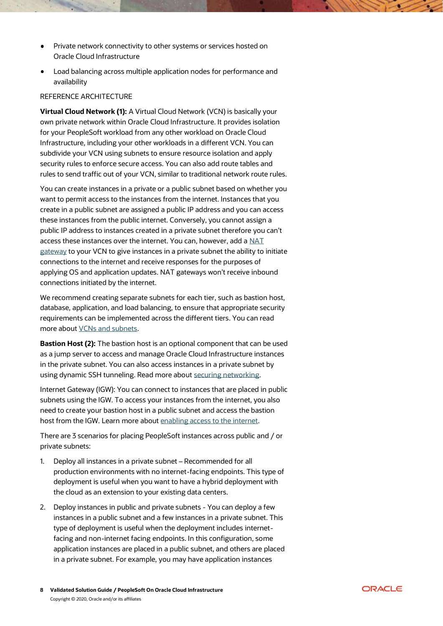- Private network connectivity to other systems or services hosted on Oracle Cloud Infrastructure
- Load balancing across multiple application nodes for performance and availability

#### REFERENCE ARCHITECTURE

**Virtual Cloud Network (1):** A Virtual Cloud Network (VCN) is basically your own private network within Oracle Cloud Infrastructure. It provides isolation for your PeopleSoft workload from any other workload on Oracle Cloud Infrastructure, including your other workloads in a different VCN. You can subdivide your VCN using subnets to ensure resource isolation and apply security rules to enforce secure access. You can also add route tables and rules to send traffic out of your VCN, similar to traditional network route rules.

You can create instances in a private or a public subnet based on whether you want to permit access to the instances from the internet. Instances that you create in a public subnet are assigned a public IP address and you can access these instances from the public internet. Conversely, you cannot assign a public IP address to instances created in a private subnet therefore you can't access these instances over the internet. You can, however, add a [NAT](https://docs.cloud.oracle.com/iaas/Content/Network/Tasks/NATgateway.htm)  [gateway](https://docs.cloud.oracle.com/iaas/Content/Network/Tasks/NATgateway.htm) to your VCN to give instances in a private subnet the ability to initiate connections to the internet and receive responses for the purposes of applying OS and application updates. NAT gateways won't receive inbound connections initiated by the internet.

We recommend creating separate subnets for each tier, such as bastion host, database, application, and load balancing, to ensure that appropriate security requirements can be implemented across the different tiers. You can read more about [VCNs and subnets.](https://docs.cloud.oracle.com/iaas/Content/Network/Tasks/managingVCNs.htm)

**Bastion Host (2):** The bastion host is an optional component that can be used as a jump server to access and manage Oracle Cloud Infrastructure instances in the private subnet. You can also access instances in a private subnet by using dynamic SSH tunneling. Read more about [securing networking.](https://docs.cloud.oracle.com/iaas/Content/Security/Reference/networking_security.htm?Highlight=bastion%20host%23SecurityRecommendations)

Internet Gateway (IGW): You can connect to instances that are placed in public subnets using the IGW. To access your instances from the internet, you also need to create your bastion host in a public subnet and access the bastion host from the IGW. Learn more about [enabling access to the internet.](https://docs.cloud.oracle.com/iaas/Content/Network/Concepts/internetaccess.htm)

There are 3 scenarios for placing PeopleSoft instances across public and / or private subnets:

- 1. Deploy all instances in a private subnet Recommended for all production environments with no internet-facing endpoints. This type of deployment is useful when you want to have a hybrid deployment with the cloud as an extension to your existing data centers.
- 2. Deploy instances in public and private subnets You can deploy a few instances in a public subnet and a few instances in a private subnet. This type of deployment is useful when the deployment includes internetfacing and non-internet facing endpoints. In this configuration, some application instances are placed in a public subnet, and others are placed in a private subnet. For example, you may have application instances

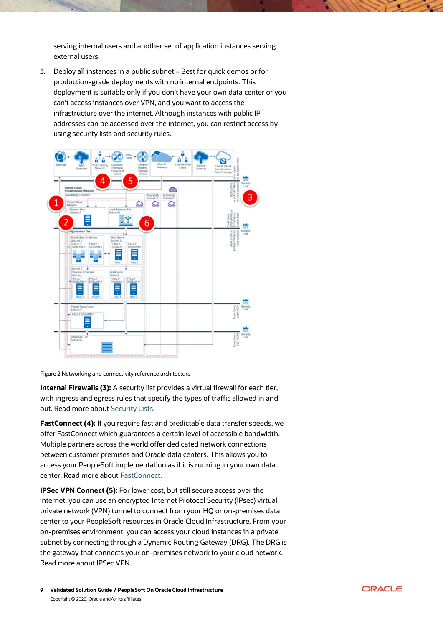serving internal users and another set of application instances serving external users.

3. Deploy all instances in a public subnet – Best for quick demos or for production-grade deployments with no internal endpoints. This deployment is suitable only if you don't have your own data center or you can't access instances over VPN, and you want to access the infrastructure over the internet. Although instances with public IP addresses can be accessed over the internet, you can restrict access by using security lists and security rules.



Figure 2 Networking and connectivity reference architecture

**Internal Firewalls (3):** A security list provides a virtual firewall for each tier, with ingress and egress rules that specify the types of traffic allowed in and out. Read more about [Security Lists.](https://docs.cloud.oracle.com/iaas/Content/Network/Concepts/securitylists.htm)

**FastConnect (4):** If you require fast and predictable data transfer speeds, we offer FastConnect which guarantees a certain level of accessible bandwidth. Multiple partners across the world offer dedicated network connections between customer premises and Oracle data centers. This allows you to access your PeopleSoft implementation as if it is running in your own data center. Read more about [FastConnect.](https://docs.cloud.oracle.com/iaas/Content/Network/Concepts/fastconnect.htm)

**IPSec VPN Connect (5):** For lower cost, but still secure access over the internet, you can use an encrypted Internet Protocol Security (IPsec) virtual private network (VPN) tunnel to connect from your HQ or on-premises data center to your PeopleSoft resources in Oracle Cloud Infrastructure. From your on-premises environment, you can access your cloud instances in a private subnet by connecting through a Dynamic Routing Gateway (DRG). The DRG is the gateway that connects your on-premises network to your cloud network. Read more about IPSec VPN.

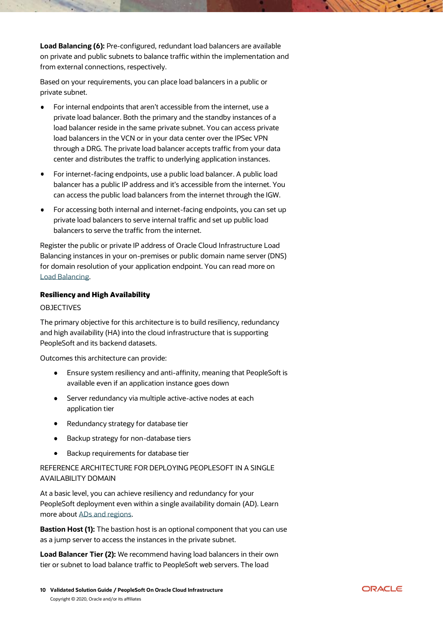**Load Balancing (6):** Pre-configured, redundant load balancers are available on private and public subnets to balance traffic within the implementation and from external connections, respectively.

Based on your requirements, you can place load balancers in a public or private subnet.

- For internal endpoints that aren't accessible from the internet, use a private load balancer. Both the primary and the standby instances of a load balancer reside in the same private subnet. You can access private load balancers in the VCN or in your data center over the IPSec VPN through a DRG. The private load balancer accepts traffic from your data center and distributes the traffic to underlying application instances.
- For internet-facing endpoints, use a public load balancer. A public load balancer has a public IP address and it's accessible from the internet. You can access the public load balancers from the internet through the IGW.
- For accessing both internal and internet-facing endpoints, you can set up private load balancers to serve internal traffic and set up public load balancers to serve the traffic from the internet.

Register the public or private IP address of Oracle Cloud Infrastructure Load Balancing instances in your on-premises or public domain name server (DNS) for domain resolution of your application endpoint. You can read more on [Load Balancing.](https://docs.cloud.oracle.com/iaas/Content/Balance/Concepts/balanceoverview.htm)

#### <span id="page-9-0"></span>Resiliency and High Availability

#### **OBJECTIVES**

The primary objective for this architecture is to build resiliency, redundancy and high availability (HA) into the cloud infrastructure that is supporting PeopleSoft and its backend datasets.

Outcomes this architecture can provide:

- $\bullet$ Ensure system resiliency and anti-affinity, meaning that PeopleSoft is available even if an application instance goes down
- **•** Server redundancy via multiple active-active nodes at each application tier
- Redundancy strategy for database tier
- **Backup strategy for non-database tiers**
- Backup requirements for database tier  $\bullet$

# REFERENCE ARCHITECTURE FOR DEPLOYING PEOPLESOFT IN A SINGLE AVAILABILITY DOMAIN

At a basic level, you can achieve resiliency and redundancy for your PeopleSoft deployment even within a single availability domain (AD). Learn more about [ADs and regions.](https://docs.cloud.oracle.com/iaas/Content/General/Concepts/regions.htm)

**Bastion Host (1):** The bastion host is an optional component that you can use as a jump server to access the instances in the private subnet.

**Load Balancer Tier (2):** We recommend having load balancers in their own tier or subnet to load balance traffic to PeopleSoft web servers. The load

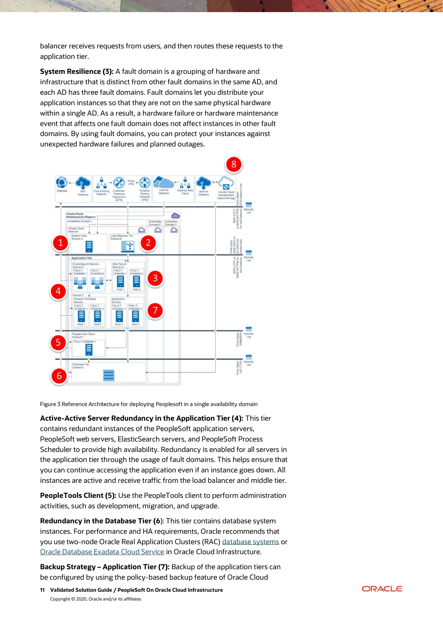balancer receives requests from users, and then routes these requests to the application tier.

**System Resilience (3):** A fault domain is a grouping of hardware and infrastructure that is distinct from other fault domains in the same AD, and each AD has three fault domains. Fault domains let you distribute your application instances so that they are not on the same physical hardware within a single AD. As a result, a hardware failure or hardware maintenance event that affects one fault domain does not affect instances in other fault domains. By using fault domains, you can protect your instances against unexpected hardware failures and planned outages.



Figure 3 Reference Architecture for deploying Peoplesoft in a single availability domain

**Active-Active Server Redundancy in the Application Tier (4):** This tier contains redundant instances of the PeopleSoft application servers, PeopleSoft web servers, ElasticSearch servers, and PeopleSoft Process Scheduler to provide high availability. Redundancy is enabled for all servers in the application tier through the usage of fault domains. This helps ensure that you can continue accessing the application even if an instance goes down. All instances are active and receive traffic from the load balancer and middle tier.

**PeopleTools Client (5):** Use the PeopleTools client to perform administration activities, such as development, migration, and upgrade.

**Redundancy in the Database Tier (6**): This tier contains database system instances. For performance and HA requirements, Oracle recommends that you use two-node Oracle Real Application Clusters (RAC) [database systems](https://docs.cloud.oracle.com/iaas/Content/Database/Concepts/overview.htm) or [Oracle Database Exadata Cloud Service](https://docs.cloud.oracle.com/iaas/Content/Database/Concepts/overview.htm) in Oracle Cloud Infrastructure.

**Backup Strategy – Application Tier (7):** Backup of the application tiers can be configured by using the policy-based backup feature of Oracle Cloud

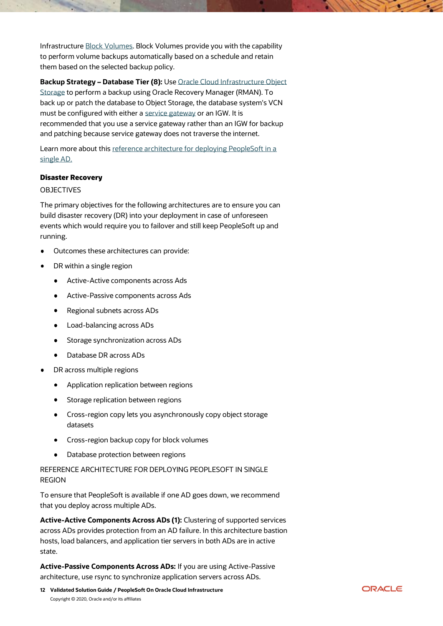Infrastructure [Block Volumes.](https://docs.cloud.oracle.com/iaas/Content/Block/Concepts/overview.htm) Block Volumes provide you with the capability to perform volume backups automatically based on a schedule and retain them based on the selected backup policy.

**Backup Strategy – Database Tier (8):** Us[e Oracle Cloud Infrastructure Object](https://docs.cloud.oracle.com/iaas/Content/Object/Concepts/objectstorageoverview.htm)  [Storage](https://docs.cloud.oracle.com/iaas/Content/Object/Concepts/objectstorageoverview.htm) to perform a backup using Oracle Recovery Manager (RMAN). To back up or patch the database to Object Storage, the database system's VCN must be configured with either a [service gateway](https://docs.cloud.oracle.com/iaas/Content/Network/Tasks/servicegateway.htm) or an IGW. It is recommended that you use a service gateway rather than an IGW for backup and patching because service gateway does not traverse the internet.

Learn more about this [reference architecture for deploying PeopleSoft in a](https://docs.oracle.com/en/solutions/learn-architecture-deploy-peoplesoft/index.html%23GUID-3C2AFE54-DE6A-4FF2-9387-64338CBDD428)  [single AD.](https://docs.oracle.com/en/solutions/learn-architecture-deploy-peoplesoft/index.html%23GUID-3C2AFE54-DE6A-4FF2-9387-64338CBDD428)

# <span id="page-11-0"></span>Disaster Recovery

#### OBJECTIVES

The primary objectives for the following architectures are to ensure you can build disaster recovery (DR) into your deployment in case of unforeseen events which would require you to failover and still keep PeopleSoft up and running.

- Outcomes these architectures can provide:
- DR within a single region
	- Active-Active components across Ads  $\bullet$
	- $\bullet$ Active-Passive components across Ads
	- Regional subnets across ADs
	- Load-balancing across ADs
	- $\bullet$ Storage synchronization across ADs
	- Database DR across ADs  $\bullet$
- DR across multiple regions
	- **•** Application replication between regions
	- Storage replication between regions
	- Cross-region copy lets you asynchronously copy object storage datasets
	- **•** Cross-region backup copy for block volumes
	- Database protection between regions

# REFERENCE ARCHITECTURE FOR DEPLOYING PEOPLESOFT IN SINGLE REGION

To ensure that PeopleSoft is available if one AD goes down, we recommend that you deploy across multiple ADs.

**Active-Active Components Across ADs (1):** Clustering of supported services across ADs provides protection from an AD failure. In this architecture bastion hosts, load balancers, and application tier servers in both ADs are in active state.

**Active-Passive Components Across ADs:** If you are using Active-Passive architecture, use rsync to synchronize application servers across ADs.

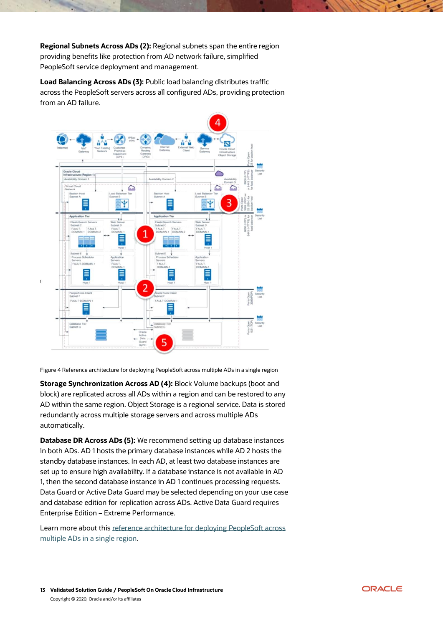**Regional Subnets Across ADs (2):** Regional subnets span the entire region providing benefits like protection from AD network failure, simplified PeopleSoft service deployment and management.

**Load Balancing Across ADs (3):** Public load balancing distributes traffic across the PeopleSoft servers across all configured ADs, providing protection from an AD failure.



Figure 4 Reference architecture for deploying PeopleSoft across multiple ADs in a single region

**Storage Synchronization Across AD (4):** Block Volume backups (boot and block) are replicated across all ADs within a region and can be restored to any AD within the same region. Object Storage is a regional service. Data is stored redundantly across multiple storage servers and across multiple ADs automatically.

**Database DR Across ADs (5):** We recommend setting up database instances in both ADs. AD 1 hosts the primary database instances while AD 2 hosts the standby database instances. In each AD, at least two database instances are set up to ensure high availability. If a database instance is not available in AD 1, then the second database instance in AD 1 continues processing requests. Data Guard or Active Data Guard may be selected depending on your use case and database edition for replication across ADs. Active Data Guard requires Enterprise Edition – Extreme Performance.

Learn more about this [reference architecture for deploying PeopleSoft across](https://docs.oracle.com/en/solutions/learn-architecture-deploy-peoplesoft/index.html%23GUID-5566261F-32FB-4E0A-A00D-6935EC6E5C7A)  [multiple ADs in a single region.](https://docs.oracle.com/en/solutions/learn-architecture-deploy-peoplesoft/index.html%23GUID-5566261F-32FB-4E0A-A00D-6935EC6E5C7A)

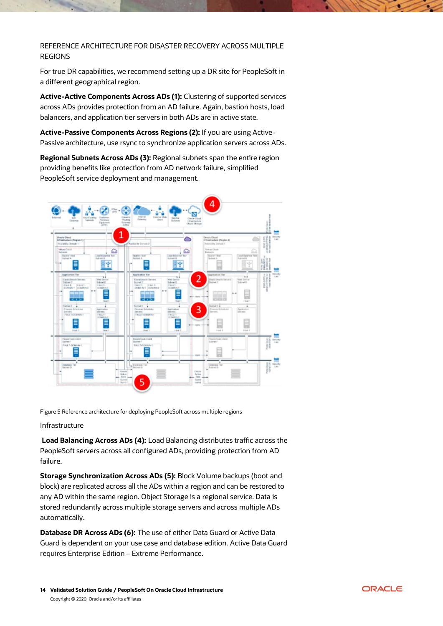REFERENCE ARCHITECTURE FOR DISASTER RECOVERY ACROSS MULTIPLE REGIONS

For true DR capabilities, we recommend setting up a DR site for PeopleSoft in a different geographical region.

**Active-Active Components Across ADs (1):** Clustering of supported services across ADs provides protection from an AD failure. Again, bastion hosts, load balancers, and application tier servers in both ADs are in active state.

**Active-Passive Components Across Regions (2):** If you are using Active-Passive architecture, use rsync to synchronize application servers across ADs.

**Regional Subnets Across ADs (3):** Regional subnets span the entire region providing benefits like protection from AD network failure, simplified PeopleSoft service deployment and management.



Figure 5 Reference architecture for deploying PeopleSoft across multiple regions

#### Infrastructure

**Load Balancing Across ADs (4):** Load Balancing distributes traffic across the PeopleSoft servers across all configured ADs, providing protection from AD failure.

**Storage Synchronization Across ADs (5):** Block Volume backups (boot and block) are replicated across all the ADs within a region and can be restored to any AD within the same region. Object Storage is a regional service. Data is stored redundantly across multiple storage servers and across multiple ADs automatically.

**Database DR Across ADs (6):** The use of either Data Guard or Active Data Guard is dependent on your use case and database edition. Active Data Guard requires Enterprise Edition – Extreme Performance.

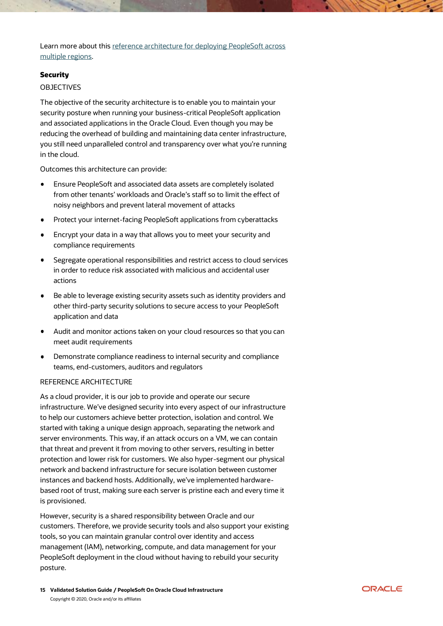Learn more about this [reference architecture for deploying PeopleSoft across](https://docs.oracle.com/en/solutions/learn-architecture-deploy-peoplesoft/index.html%23GUID-7B94412B-16F5-4C53-8FAD-268A5F70D42F)  [multiple regions.](https://docs.oracle.com/en/solutions/learn-architecture-deploy-peoplesoft/index.html%23GUID-7B94412B-16F5-4C53-8FAD-268A5F70D42F)

#### <span id="page-14-0"></span>**Security**

#### **OBJECTIVES**

The objective of the security architecture is to enable you to maintain your security posture when running your business-critical PeopleSoft application and associated applications in the Oracle Cloud. Even though you may be reducing the overhead of building and maintaining data center infrastructure, you still need unparalleled control and transparency over what you're running in the cloud.

Outcomes this architecture can provide:

- Ensure PeopleSoft and associated data assets are completely isolated from other tenants' workloads and Oracle's staff so to limit the effect of noisy neighbors and prevent lateral movement of attacks
- Protect your internet-facing PeopleSoft applications from cyberattacks
- Encrypt your data in a way that allows you to meet your security and  $\bullet$ compliance requirements
- Segregate operational responsibilities and restrict access to cloud services in order to reduce risk associated with malicious and accidental user actions
- Be able to leverage existing security assets such as identity providers and other third-party security solutions to secure access to your PeopleSoft application and data
- Audit and monitor actions taken on your cloud resources so that you can meet audit requirements
- Demonstrate compliance readiness to internal security and compliance teams, end-customers, auditors and regulators

#### REFERENCE ARCHITECTURE

As a cloud provider, it is our job to provide and operate our secure infrastructure. We've designed security into every aspect of our infrastructure to help our customers achieve better protection, isolation and control. We started with taking a unique design approach, separating the network and server environments. This way, if an attack occurs on a VM, we can contain that threat and prevent it from moving to other servers, resulting in better protection and lower risk for customers. We also hyper-segment our physical network and backend infrastructure for secure isolation between customer instances and backend hosts. Additionally, we've implemented hardwarebased root of trust, making sure each server is pristine each and every time it is provisioned.

However, security is a shared responsibility between Oracle and our customers. Therefore, we provide security tools and also support your existing tools, so you can maintain granular control over identity and access management (IAM), networking, compute, and data management for your PeopleSoft deployment in the cloud without having to rebuild your security posture.

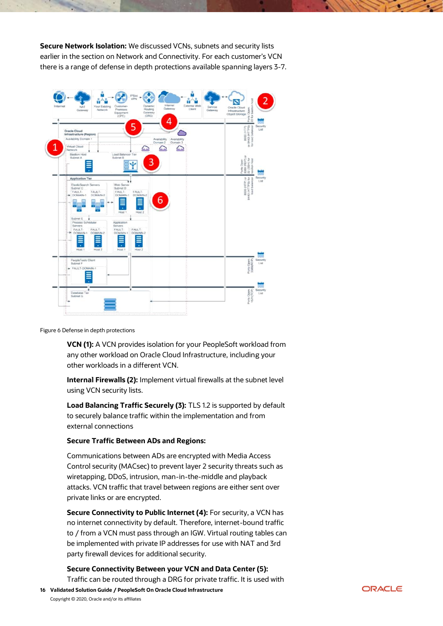**Secure Network Isolation:** We discussed VCNs, subnets and security lists earlier in the section on Network and Connectivity. For each customer's VCN there is a range of defense in depth protections available spanning layers 3-7.



Figure 6 Defense in depth protections

**VCN (1):** A VCN provides isolation for your PeopleSoft workload from any other workload on Oracle Cloud Infrastructure, including your other workloads in a different VCN.

**Internal Firewalls (2):** Implement virtual firewalls at the subnet level using VCN security lists.

**Load Balancing Traffic Securely (3):** TLS 1.2 is supported by default to securely balance traffic within the implementation and from external connections

#### **Secure Traffic Between ADs and Regions:**

Communications between ADs are encrypted with Media Access Control security (MACsec) to prevent layer 2 security threats such as wiretapping, DDoS, intrusion, man-in-the-middle and playback attacks. VCN traffic that travel between regions are either sent over private links or are encrypted.

**Secure Connectivity to Public Internet (4):** For security, a VCN has no internet connectivity by default. Therefore, internet-bound traffic to / from a VCN must pass through an IGW. Virtual routing tables can be implemented with private IP addresses for use with NAT and 3rd party firewall devices for additional security.

# **Secure Connectivity Between your VCN and Data Center (5):**

Traffic can be routed through a DRG for private traffic. It is used with

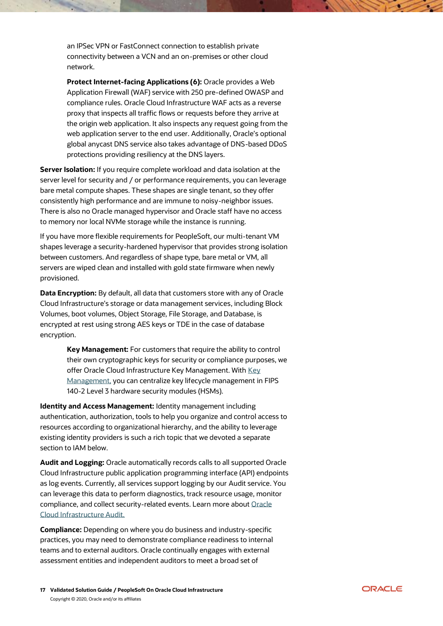an IPSec VPN or FastConnect connection to establish private connectivity between a VCN and an on-premises or other cloud network.

**Protect Internet-facing Applications (6):** Oracle provides a Web Application Firewall (WAF) service with 250 pre-defined OWASP and compliance rules. Oracle Cloud Infrastructure WAF acts as a reverse proxy that inspects all traffic flows or requests before they arrive at the origin web application. It also inspects any request going from the web application server to the end user. Additionally, Oracle's optional global anycast DNS service also takes advantage of DNS-based DDoS protections providing resiliency at the DNS layers.

**Server Isolation:** If you require complete workload and data isolation at the server level for security and / or performance requirements, you can leverage bare metal compute shapes. These shapes are single tenant, so they offer consistently high performance and are immune to noisy-neighbor issues. There is also no Oracle managed hypervisor and Oracle staff have no access to memory nor local NVMe storage while the instance is running.

If you have more flexible requirements for PeopleSoft, our multi-tenant VM shapes leverage a security-hardened hypervisor that provides strong isolation between customers. And regardless of shape type, bare metal or VM, all servers are wiped clean and installed with gold state firmware when newly provisioned.

**Data Encryption:** By default, all data that customers store with any of Oracle Cloud Infrastructure's storage or data management services, including Block Volumes, boot volumes, Object Storage, File Storage, and Database, is encrypted at rest using strong AES keys or TDE in the case of database encryption.

> **Key Management:** For customers that require the ability to control their own cryptographic keys for security or compliance purposes, we offer Oracle Cloud Infrastructure [Key](https://docs.cloud.oracle.com/iaas/Content/KeyManagement/Concepts/keyoverview.htm?Highlight=key%20management) Management. With Key [Management,](https://docs.cloud.oracle.com/iaas/Content/KeyManagement/Concepts/keyoverview.htm?Highlight=key%20management) you can centralize key lifecycle management in FIPS 140-2 Level 3 hardware security modules (HSMs).

**Identity and Access Management:** Identity management including authentication, authorization, tools to help you organize and control access to resources according to organizational hierarchy, and the ability to leverage existing identity providers is such a rich topic that we devoted a separate section to IAM below.

**Audit and Logging:** Oracle automatically records calls to all supported Oracle Cloud Infrastructure public application programming interface (API) endpoints as log events. Currently, all services support logging by our Audit service. You can leverage this data to perform diagnostics, track resource usage, monitor compliance, and collect security-related events. Learn more about [Oracle](https://docs.cloud.oracle.com/iaas/Content/Audit/Concepts/auditoverview.htm)  [Cloud Infrastructure Audit.](https://docs.cloud.oracle.com/iaas/Content/Audit/Concepts/auditoverview.htm)

**Compliance:** Depending on where you do business and industry-specific practices, you may need to demonstrate compliance readiness to internal teams and to external auditors. Oracle continually engages with external assessment entities and independent auditors to meet a broad set of

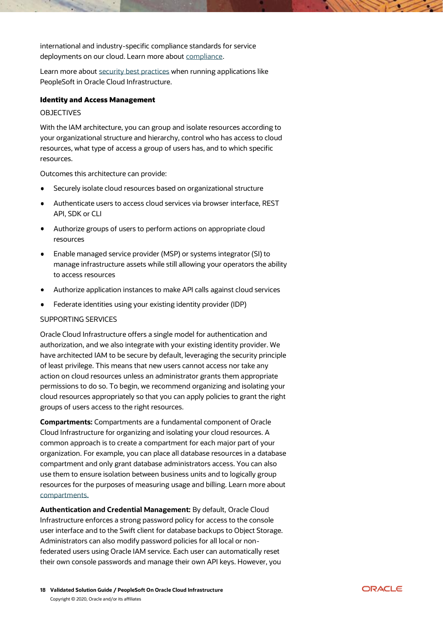international and industry-specific compliance standards for service deployments on our cloud. Learn more about [compliance.](https://cloud.oracle.com/en_US/cloud-compliance)

Learn more about [security best practices](https://docs.cloud.oracle.com/iaas/Content/Security/Concepts/security_guide.htm) when running applications like PeopleSoft in Oracle Cloud Infrastructure.

#### <span id="page-17-0"></span>Identity and Access Management

#### **OBJECTIVES**

With the IAM architecture, you can group and isolate resources according to your organizational structure and hierarchy, control who has access to cloud resources, what type of access a group of users has, and to which specific resources.

Outcomes this architecture can provide:

- Securely isolate cloud resources based on organizational structure
- Authenticate users to access cloud services via browser interface, REST API, SDK or CLI
- Authorize groups of users to perform actions on appropriate cloud resources
- Enable managed service provider (MSP) or systems integrator (SI) to manage infrastructure assets while still allowing your operators the ability to access resources
- Authorize application instances to make API calls against cloud services
- Federate identities using your existing identity provider (IDP)

# SUPPORTING SERVICES

Oracle Cloud Infrastructure offers a single model for authentication and authorization, and we also integrate with your existing identity provider. We have architected IAM to be secure by default, leveraging the security principle of least privilege. This means that new users cannot access nor take any action on cloud resources unless an administrator grants them appropriate permissions to do so. To begin, we recommend organizing and isolating your cloud resources appropriately so that you can apply policies to grant the right groups of users access to the right resources.

**Compartments:** Compartments are a fundamental component of Oracle Cloud Infrastructure for organizing and isolating your cloud resources. A common approach is to create a compartment for each major part of your organization. For example, you can place all database resources in a database compartment and only grant database administrators access. You can also use them to ensure isolation between business units and to logically group resources for the purposes of measuring usage and billing. Learn more about [compartments.](https://docs.cloud.oracle.com/iaas/Content/Identity/Tasks/managingcompartments.htm)

**Authentication and Credential Management:** By default, Oracle Cloud Infrastructure enforces a strong password policy for access to the console user interface and to the Swift client for database backups to Object Storage. Administrators can also modify password policies for all local or nonfederated users using Oracle IAM service. Each user can automatically reset their own console passwords and manage their own API keys. However, you

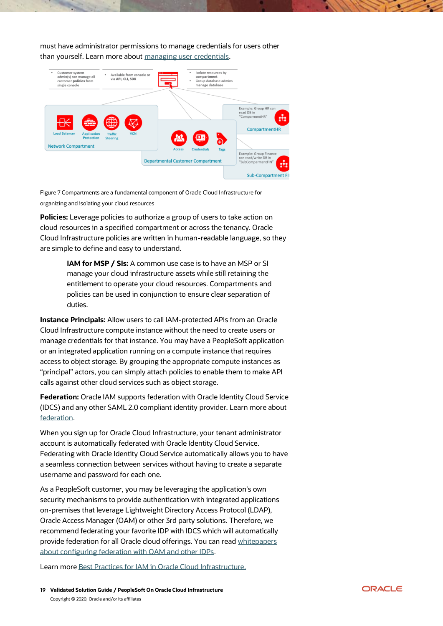must have administrator permissions to manage credentials for users other than yourself. Learn more about [managing user credentials.](https://docs.cloud.oracle.com/iaas/Content/Identity/Concepts/usercredentials.htm)



Figure 7 Compartments are a fundamental component of Oracle Cloud Infrastructure for organizing and isolating your cloud resources

**Policies:** Leverage policies to authorize a group of users to take action on cloud resources in a specified compartment or across the tenancy. Oracle Cloud Infrastructure policies are written in human-readable language, so they are simple to define and easy to understand.

> **IAM for MSP / SIs:** A common use case is to have an MSP or SI manage your cloud infrastructure assets while still retaining the entitlement to operate your cloud resources. Compartments and policies can be used in conjunction to ensure clear separation of duties.

**Instance Principals:** Allow users to call IAM-protected APIs from an Oracle Cloud Infrastructure compute instance without the need to create users or manage credentials for that instance. You may have a PeopleSoft application or an integrated application running on a compute instance that requires access to object storage. By grouping the appropriate compute instances as "principal" actors, you can simply attach policies to enable them to make API calls against other cloud services such as object storage.

**Federation:** Oracle IAM supports federation with Oracle Identity Cloud Service (IDCS) and any other SAML 2.0 compliant identity provider. Learn more about [federation.](https://docs.cloud.oracle.com/iaas/Content/Identity/Concepts/federation.htm)

When you sign up for Oracle Cloud Infrastructure, your tenant administrator account is automatically federated with Oracle Identity Cloud Service. Federating with Oracle Identity Cloud Service automatically allows you to have a seamless connection between services without having to create a separate username and password for each one.

As a PeopleSoft customer, you may be leveraging the application's own security mechanisms to provide authentication with integrated applications on-premises that leverage Lightweight Directory Access Protocol (LDAP), Oracle Access Manager (OAM) or other 3rd party solutions. Therefore, we recommend federating your favorite IDP with IDCS which will automatically provide federation for all Oracle cloud offerings. You can read [whitepapers](https://cloud.oracle.com/en_US/cloud-security/whitepapers)  [about configuring federation with OAM and other IDPs.](https://cloud.oracle.com/en_US/cloud-security/whitepapers)

Learn more [Best Practices for IAM in Oracle Cloud Infrastructure.](https://cloud.oracle.com/iaas/whitepapers/best-practices-for-iam-on-oci.pdf)

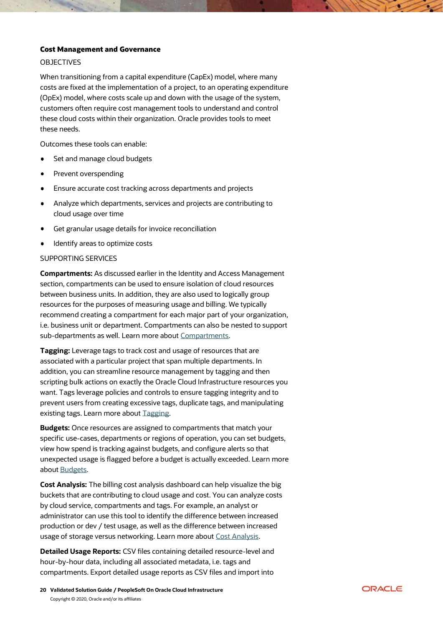#### <span id="page-19-0"></span>Cost Management and Governance

#### OBJECTIVES

When transitioning from a capital expenditure (CapEx) model, where many costs are fixed at the implementation of a project, to an operating expenditure (OpEx) model, where costs scale up and down with the usage of the system, customers often require cost management tools to understand and control these cloud costs within their organization. Oracle provides tools to meet these needs.

Outcomes these tools can enable:

- $\bullet$ Set and manage cloud budgets
- Prevent overspending
- Ensure accurate cost tracking across departments and projects
- Analyze which departments, services and projects are contributing to cloud usage over time
- Get granular usage details for invoice reconciliation
- Identify areas to optimize costs

#### SUPPORTING SERVICES

**Compartments:** As discussed earlier in the Identity and Access Management section, compartments can be used to ensure isolation of cloud resources between business units. In addition, they are also used to logically group resources for the purposes of measuring usage and billing. We typically recommend creating a compartment for each major part of your organization, i.e. business unit or department. Compartments can also be nested to support sub-departments as well. Learn more about [Compartments.](https://docs.cloud.oracle.com/iaas/Content/Identity/Tasks/managingcompartments.htm)

**Tagging:** Leverage tags to track cost and usage of resources that are associated with a particular project that span multiple departments. In addition, you can streamline resource management by tagging and then scripting bulk actions on exactly the Oracle Cloud Infrastructure resources you want. Tags leverage policies and controls to ensure tagging integrity and to prevent users from creating excessive tags, duplicate tags, and manipulating existing tags. Learn more about [Tagging.](https://docs.cloud.oracle.com/iaas/Content/Identity/Concepts/taggingoverview.htm)

**Budgets:** Once resources are assigned to compartments that match your specific use-cases, departments or regions of operation, you can set budgets, view how spend is tracking against budgets, and configure alerts so that unexpected usage is flagged before a budget is actually exceeded. Learn more about [Budgets.](https://docs.cloud.oracle.com/iaas/Content/Billing/Concepts/budgetsoverview.htm)

**Cost Analysis:** The billing cost analysis dashboard can help visualize the big buckets that are contributing to cloud usage and cost. You can analyze costs by cloud service, compartments and tags. For example, an analyst or administrator can use this tool to identify the difference between increased production or dev / test usage, as well as the difference between increased usage of storage versus networking. Learn more about [Cost Analysis.](https://docs.cloud.oracle.com/iaas/Content/GSG/Concepts/costs.htm)

**Detailed Usage Reports:** CSV files containing detailed resource-level and hour-by-hour data, including all associated metadata, i.e. tags and compartments. Export detailed usage reports as CSV files and import into

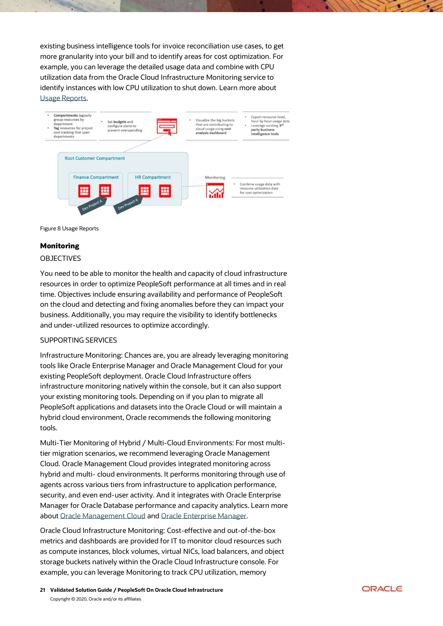existing business intelligence tools for invoice reconciliation use cases, to get more granularity into your bill and to identify areas for cost optimization. For example, you can leverage the detailed usage data and combine with CPU utilization data from the Oracle Cloud Infrastructure Monitoring service to identify instances with low CPU utilization to shut down. Learn more about [Usage Reports.](https://docs.cloud.oracle.com/iaas/Content/Billing/Concepts/usagereportsoverview.htm)





# <span id="page-20-0"></span>**Monitoring**

#### **OBJECTIVES**

You need to be able to monitor the health and capacity of cloud infrastructure resources in order to optimize PeopleSoft performance at all times and in real time. Objectives include ensuring availability and performance of PeopleSoft on the cloud and detecting and fixing anomalies before they can impact your business. Additionally, you may require the visibility to identify bottlenecks and under-utilized resources to optimize accordingly.

#### SUPPORTING SERVICES

Infrastructure Monitoring: Chances are, you are already leveraging monitoring tools like Oracle Enterprise Manager and Oracle Management Cloud for your existing PeopleSoft deployment. Oracle Cloud Infrastructure offers infrastructure monitoring natively within the console, but it can also support your existing monitoring tools. Depending on if you plan to migrate all PeopleSoft applications and datasets into the Oracle Cloud or will maintain a hybrid cloud environment, Oracle recommends the following monitoring tools.

Multi-Tier Monitoring of Hybrid / Multi-Cloud Environments: For most multitier migration scenarios, we recommend leveraging Oracle Management Cloud. Oracle Management Cloud provides integrated monitoring across hybrid and multi- cloud environments. It performs monitoring through use of agents across various tiers from infrastructure to application performance, security, and even end-user activity. And it integrates with Oracle Enterprise Manager for Oracle Database performance and capacity analytics. Learn more about [Oracle Management Cloud](https://docs.oracle.com/en/cloud/paas/management-cloud/index.html) and [Oracle Enterprise Manager.](https://cloudmarketplace.oracle.com/marketplace/en_US/listing/51275099)

Oracle Cloud Infrastructure Monitoring: Cost-effective and out-of-the-box metrics and dashboards are provided for IT to monitor cloud resources such as compute instances, block volumes, virtual NICs, load balancers, and object storage buckets natively within the Oracle Cloud Infrastructure console. For example, you can leverage Monitoring to track CPU utilization, memory

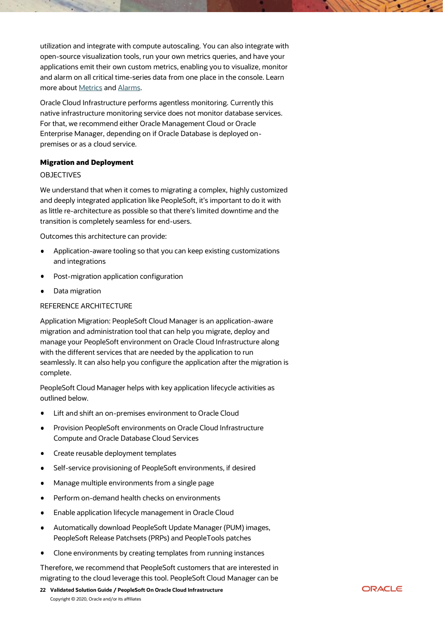utilization and integrate with compute autoscaling. You can also integrate with open-source visualization tools, run your own metrics queries, and have your applications emit their own custom metrics, enabling you to visualize, monitor and alarm on all critical time-series data from one place in the console. Learn more about [Metrics](https://docs.cloud.oracle.com/iaas/Content/Monitoring/Concepts/monitoringoverview.htm%23metricsoverview) and [Alarms.](https://docs.cloud.oracle.com/iaas/Content/Monitoring/Concepts/alarmsbestpractices.htm)

Oracle Cloud Infrastructure performs agentless monitoring. Currently this native infrastructure monitoring service does not monitor database services. For that, we recommend either Oracle Management Cloud or Oracle Enterprise Manager, depending on if Oracle Database is deployed onpremises or as a cloud service.

# <span id="page-21-0"></span>Migration and Deployment

#### OBJECTIVES

We understand that when it comes to migrating a complex, highly customized and deeply integrated application like PeopleSoft, it's important to do it with as little re-architecture as possible so that there's limited downtime and the transition is completely seamless for end-users.

Outcomes this architecture can provide:

- Application-aware tooling so that you can keep existing customizations and integrations
- Post-migration application configuration
- Data migration

#### REFERENCE ARCHITECTURE

Application Migration: PeopleSoft Cloud Manager is an application-aware migration and administration tool that can help you migrate, deploy and manage your PeopleSoft environment on Oracle Cloud Infrastructure along with the different services that are needed by the application to run seamlessly. It can also help you configure the application after the migration is complete.

PeopleSoft Cloud Manager helps with key application lifecycle activities as outlined below.

- Lift and shift an on-premises environment to Oracle Cloud
- Provision PeopleSoft environments on Oracle Cloud Infrastructure Compute and Oracle Database Cloud Services
- Create reusable deployment templates  $\bullet$
- Self-service provisioning of PeopleSoft environments, if desired  $\bullet$
- Manage multiple environments from a single page  $\bullet$
- Perform on-demand health checks on environments  $\bullet$
- Enable application lifecycle management in Oracle Cloud ٠
- Automatically download PeopleSoft Update Manager (PUM) images,  $\blacksquare$ PeopleSoft Release Patchsets (PRPs) and PeopleTools patches
- Clone environments by creating templates from running instances

Therefore, we recommend that PeopleSoft customers that are interested in migrating to the cloud leverage this tool. PeopleSoft Cloud Manager can be

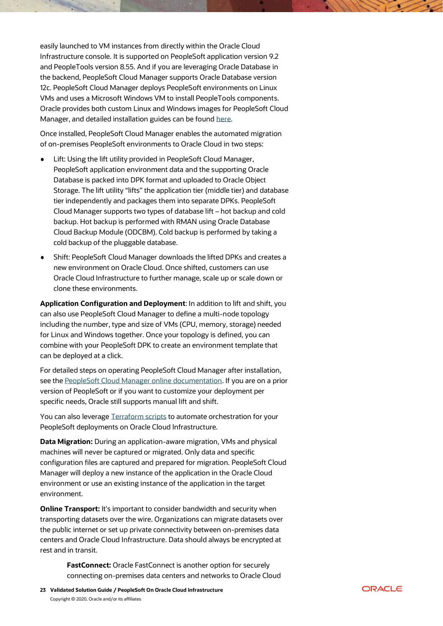easily launched to VM instances from directly within the Oracle Cloud Infrastructure console. It is supported on PeopleSoft application version 9.2 and PeopleTools version 8.55. And if you are leveraging Oracle Database in the backend, PeopleSoft Cloud Manager supports Oracle Database version 12c. PeopleSoft Cloud Manager deploys PeopleSoft environments on Linux VMs and uses a Microsoft Windows VM to install PeopleTools components. Oracle provides both custom Linux and Windows images for PeopleSoft Cloud Manager, and detailed installation guides can be found [here.](https://apexapps.oracle.com/pls/apex/f?p=44785:141:29276511864458::::P141_PAGE_ID,P141_SECTION_ID:523,3679)

Once installed, PeopleSoft Cloud Manager enables the automated migration of on-premises PeopleSoft environments to Oracle Cloud in two steps:

- Lift: Using the lift utility provided in PeopleSoft Cloud Manager, PeopleSoft application environment data and the supporting Oracle Database is packed into DPK format and uploaded to Oracle Object Storage. The lift utility "lifts" the application tier (middle tier) and database tier independently and packages them into separate DPKs. PeopleSoft Cloud Manager supports two types of database lift – hot backup and cold backup. Hot backup is performed with RMAN using Oracle Database Cloud Backup Module (ODCBM). Cold backup is performed by taking a cold backup of the pluggable database.
- Shift: PeopleSoft Cloud Manager downloads the lifted DPKs and creates a new environment on Oracle Cloud. Once shifted, customers can use Oracle Cloud Infrastructure to further manage, scale up or scale down or clone these environments.

**Application Configuration and Deployment**: In addition to lift and shift, you can also use PeopleSoft Cloud Manager to define a multi-node topology including the number, type and size of VMs (CPU, memory, storage) needed for Linux and Windows together. Once your topology is defined, you can combine with your PeopleSoft DPK to create an environment template that can be deployed at a click.

For detailed steps on operating PeopleSoft Cloud Manager after installation, see the [PeopleSoft Cloud Manager online documentation.](https://docs.oracle.com/cd/F12813_01/pcd92pbr8/eng/pcd/index.html?focusnode=home) If you are on a prior version of PeopleSoft or if you want to customize your deployment per specific needs, Oracle still supports manual lift and shift.

You can also leverage [Terraform scripts](https://github.com/oracle/cloud-asset-appsul-terraform-samples/tree/master/Peoplesoft) to automate orchestration for your PeopleSoft deployments on Oracle Cloud Infrastructure.

**Data Migration:** During an application-aware migration, VMs and physical machines will never be captured or migrated. Only data and specific configuration files are captured and prepared for migration. PeopleSoft Cloud Manager will deploy a new instance of the application in the Oracle Cloud environment or use an existing instance of the application in the target environment.

**Online Transport:** It's important to consider bandwidth and security when transporting datasets over the wire. Organizations can migrate datasets over the public internet or set up private connectivity between on-premises data centers and Oracle Cloud Infrastructure. Data should always be encrypted at rest and in transit.

> **FastConnect:** Oracle FastConnect is another option for securely connecting on-premises data centers and networks to Oracle Cloud

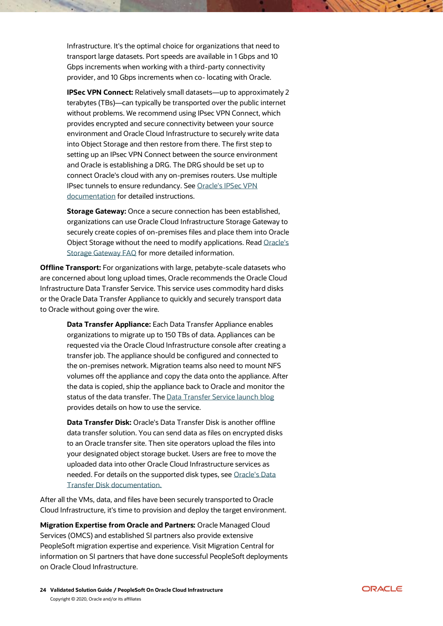Infrastructure. It's the optimal choice for organizations that need to transport large datasets. Port speeds are available in 1 Gbps and 10 Gbps increments when working with a third-party connectivity provider, and 10 Gbps increments when co- locating with Oracle.

**IPSec VPN Connect:** Relatively small datasets—up to approximately 2 terabytes (TBs)—can typically be transported over the public internet without problems. We recommend using IPsec VPN Connect, which provides encrypted and secure connectivity between your source environment and Oracle Cloud Infrastructure to securely write data into Object Storage and then restore from there. The first step to setting up an IPsec VPN Connect between the source environment and Oracle is establishing a DRG. The DRG should be set up to connect Oracle's cloud with any on-premises routers. Use multiple IPsec tunnels to ensure redundancy. See [Oracle's IPSec VPN](https://docs.cloud.oracle.com/iaas/Content/Network/Tasks/managingIPsec.htm)  [documentation](https://docs.cloud.oracle.com/iaas/Content/Network/Tasks/managingIPsec.htm) for detailed instructions.

**Storage Gateway:** Once a secure connection has been established, organizations can use Oracle Cloud Infrastructure Storage Gateway to securely create copies of on-premises files and place them into Oracle Object Storage without the need to modify applications. Rea[d Oracle's](https://cloud.oracle.com/storage/storage-gateway/faq)  [Storage Gateway FAQ](https://cloud.oracle.com/storage/storage-gateway/faq) for more detailed information.

**Offline Transport:** For organizations with large, petabyte-scale datasets who are concerned about long upload times, Oracle recommends the Oracle Cloud Infrastructure Data Transfer Service. This service uses commodity hard disks or the Oracle Data Transfer Appliance to quickly and securely transport data to Oracle without going over the wire.

> **Data Transfer Appliance:** Each Data Transfer Appliance enables organizations to migrate up to 150 TBs of data. Appliances can be requested via the Oracle Cloud Infrastructure console after creating a transfer job. The appliance should be configured and connected to the on-premises network. Migration teams also need to mount NFS volumes off the appliance and copy the data onto the appliance. After the data is copied, ship the appliance back to Oracle and monitor the status of the data transfer. The [Data Transfer Service launch blog](https://blogs.oracle.com/cloud-infrastructure/introducing-oracle-cloud-infrastructure-data-transfer-service) provides details on how to use the service.

**Data Transfer Disk:** Oracle's Data Transfer Disk is another offline data transfer solution. You can send data as files on encrypted disks to an Oracle transfer site. Then site operators upload the files into your designated object storage bucket. Users are free to move the uploaded data into other Oracle Cloud Infrastructure services as needed. For details on the supported disk types, see [Oracle's Data](https://docs.cloud.oracle.com/iaas/Content/DataTransfer/Concepts/datatransferhdd.htm)  [Transfer Disk documentation.](https://docs.cloud.oracle.com/iaas/Content/DataTransfer/Concepts/datatransferhdd.htm)

After all the VMs, data, and files have been securely transported to Oracle Cloud Infrastructure, it's time to provision and deploy the target environment.

**Migration Expertise from Oracle and Partners:** Oracle Managed Cloud Services (OMCS) and established SI partners also provide extensive PeopleSoft migration expertise and experience. Visit Migration Central for information on SI partners that have done successful PeopleSoft deployments on Oracle Cloud Infrastructure.

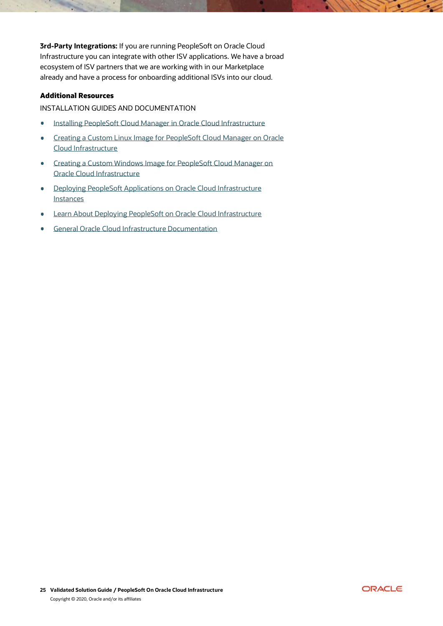**3rd-Party Integrations:** If you are running PeopleSoft on Oracle Cloud Infrastructure you can integrate with other ISV applications. We have a broad ecosystem of ISV partners that we are working with in our Marketplace already and have a process for onboarding additional ISVs into our cloud.

# <span id="page-24-0"></span>Additional Resources

#### INSTALLATION GUIDES AND DOCUMENTATION

- [Installing PeopleSoft Cloud Manager in Oracle Cloud Infrastructure](https://www.oracle.com/webfolder/technetwork/tutorials/obe/cloud/compute-iaas/install_peoplesoft_cloud_manager_oci/cloud-manager-install-oracle-cloud-infrastructure.html)  $\bullet$
- [Creating a Custom Linux Image for PeopleSoft Cloud Manager on Oracle](https://www.oracle.com/webfolder/technetwork/tutorials/obe/cloud/compute-iaas/linux_custom_image_cloud_manager_psft_cm_oci/index.html)   $\bullet$ [Cloud Infrastructure](https://www.oracle.com/webfolder/technetwork/tutorials/obe/cloud/compute-iaas/linux_custom_image_cloud_manager_psft_cm_oci/index.html)
- [Creating a Custom Windows Image for PeopleSoft Cloud Manager on](https://www.oracle.com/webfolder/technetwork/tutorials/obe/cloud/compute-iaas/windows_custom_image_for_cloud_manager_psft_cm_oci/index.html)   $\bullet$ [Oracle Cloud Infrastructure](https://www.oracle.com/webfolder/technetwork/tutorials/obe/cloud/compute-iaas/windows_custom_image_for_cloud_manager_psft_cm_oci/index.html)
- [Deploying PeopleSoft Applications on Oracle Cloud Infrastructure](https://www.oracle.com/webfolder/technetwork/tutorials/obe/cloud/compute-iaas/deploy_psft_app_marketplace_oci/deploy-psft-marketplace-oracle-cloud-infrastructure.html)   $\bullet$ [Instances](https://www.oracle.com/webfolder/technetwork/tutorials/obe/cloud/compute-iaas/deploy_psft_app_marketplace_oci/deploy-psft-marketplace-oracle-cloud-infrastructure.html)
- [Learn About Deploying PeopleSoft on Oracle Cloud Infrastructure](https://docs.oracle.com/en/solutions/learn-architecture-deploy-peoplesoft/index.html#GUID-0A7D0903-A89D-409B-9395-C1E915314D5F)  $\bullet$
- [General Oracle Cloud Infrastructure Documentation](https://docs.cloud.oracle.com/iaas/Content/home.htm)